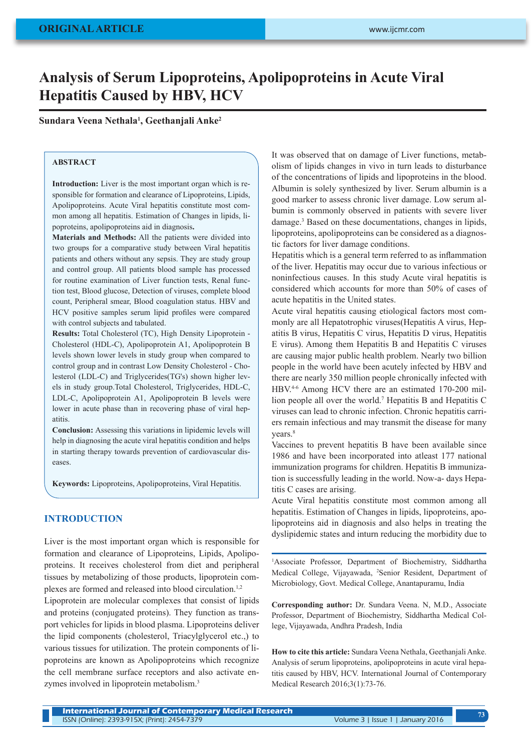# **Analysis of Serum Lipoproteins, Apolipoproteins in Acute Viral Hepatitis Caused by HBV, HCV**

# **Sundara Veena Nethala1 , Geethanjali Anke2**

# **ABSTRACT**

**Introduction:** Liver is the most important organ which is responsible for formation and clearance of Lipoproteins, Lipids, Apolipoproteins. Acute Viral hepatitis constitute most common among all hepatitis. Estimation of Changes in lipids, lipoproteins, apolipoproteins aid in diagnosis**.** 

**Materials and Methods:** All the patients were divided into two groups for a comparative study between Viral hepatitis patients and others without any sepsis. They are study group and control group. All patients blood sample has processed for routine examination of Liver function tests, Renal function test, Blood glucose, Detection of viruses, complete blood count, Peripheral smear, Blood coagulation status. HBV and HCV positive samples serum lipid profiles were compared with control subjects and tabulated.

**Results:** Total Cholesterol (TC), High Density Lipoprotein - Cholesterol (HDL-C), Apolipoprotein A1, Apolipoprotein B levels shown lower levels in study group when compared to control group and in contrast Low Density Cholesterol - Cholesterol (LDL-C) and Triglycerides(TG's) shown higher levels in study group.Total Cholesterol, Triglycerides, HDL-C, LDL-C, Apolipoprotein A1, Apolipoprotein B levels were lower in acute phase than in recovering phase of viral hepatitis.

**Conclusion:** Assessing this variations in lipidemic levels will help in diagnosing the acute viral hepatitis condition and helps in starting therapy towards prevention of cardiovascular diseases.

**Keywords:** Lipoproteins, Apolipoproteins, Viral Hepatitis.

# **INTRODUCTION**

Liver is the most important organ which is responsible for formation and clearance of Lipoproteins, Lipids, Apolipoproteins. It receives cholesterol from diet and peripheral tissues by metabolizing of those products, lipoprotein complexes are formed and released into blood circulation.<sup>1,2</sup>

Lipoprotein are molecular complexes that consist of lipids and proteins (conjugated proteins). They function as transport vehicles for lipids in blood plasma. Lipoproteins deliver the lipid components (cholesterol, Triacylglycerol etc.,) to various tissues for utilization. The protein components of lipoproteins are known as Apolipoproteins which recognize the cell membrane surface receptors and also activate enzymes involved in lipoprotein metabolism.<sup>3</sup>

It was observed that on damage of Liver functions, metabolism of lipids changes in vivo in turn leads to disturbance of the concentrations of lipids and lipoproteins in the blood. Albumin is solely synthesized by liver. Serum albumin is a good marker to assess chronic liver damage. Low serum albumin is commonly observed in patients with severe liver damage.3 Based on these documentations, changes in lipids, lipoproteins, apolipoproteins can be considered as a diagnostic factors for liver damage conditions.

Hepatitis which is a general term referred to as inflammation of the liver. Hepatitis may occur due to various infectious or noninfectious causes. In this study Acute viral hepatitis is considered which accounts for more than 50% of cases of acute hepatitis in the United states.

Acute viral hepatitis causing etiological factors most commonly are all Hepatotrophic viruses(Hepatitis A virus, Hepatitis B virus, Hepatitis C virus, Hepatitis D virus, Hepatitis E virus). Among them Hepatitis B and Hepatitis C viruses are causing major public health problem. Nearly two billion people in the world have been acutely infected by HBV and there are nearly 350 million people chronically infected with HBV.4-6 Among HCV there are an estimated 170-200 million people all over the world.<sup>7</sup> Hepatitis B and Hepatitis C viruses can lead to chronic infection. Chronic hepatitis carriers remain infectious and may transmit the disease for many years.<sup>8</sup>

Vaccines to prevent hepatitis B have been available since 1986 and have been incorporated into atleast 177 national immunization programs for children. Hepatitis B immunization is successfully leading in the world. Now-a- days Hepatitis C cases are arising.

Acute Viral hepatitis constitute most common among all hepatitis. Estimation of Changes in lipids, lipoproteins, apolipoproteins aid in diagnosis and also helps in treating the dyslipidemic states and inturn reducing the morbidity due to

<sup>1</sup>Associate Professor, Department of Biochemistry, Siddhartha Medical College, Vijayawada, 2 Senior Resident, Department of Microbiology, Govt. Medical College, Anantapuramu, India

**Corresponding author:** Dr. Sundara Veena. N, M.D., Associate Professor, Department of Biochemistry, Siddhartha Medical College, Vijayawada, Andhra Pradesh, India

**How to cite this article:** Sundara Veena Nethala, Geethanjali Anke. Analysis of serum lipoproteins, apolipoproteins in acute viral hepatitis caused by HBV, HCV. International Journal of Contemporary Medical Research 2016;3(1):73-76.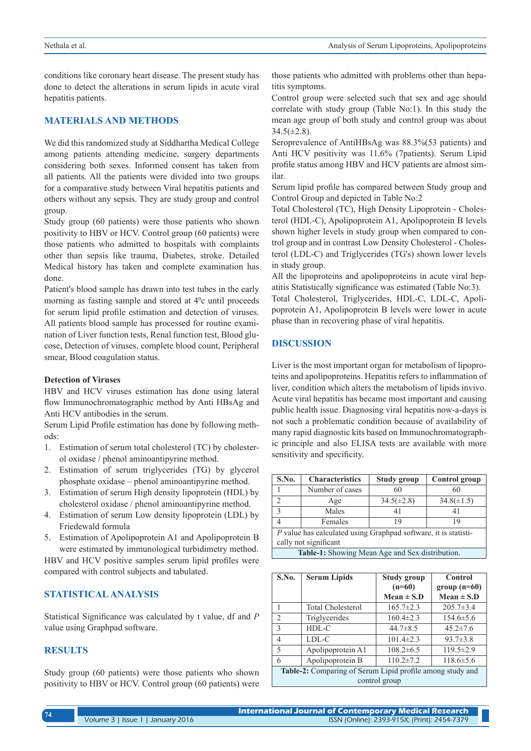conditions like coronary heart disease. The present study has done to detect the alterations in serum lipids in acute viral hepatitis patients.

# **MATERIALS AND METHODS**

We did this randomized study at Siddhartha Medical College among patients attending medicine, surgery departments considering both sexes. Informed consent has taken from all patients. All the patients were divided into two groups for a comparative study between Viral hepatitis patients and others without any sepsis. They are study group and control group.

Study group (60 patients) were those patients who shown positivity to HBV or HCV. Control group (60 patients) were those patients who admitted to hospitals with complaints other than sepsis like trauma, Diabetes, stroke. Detailed Medical history has taken and complete examination has done.

Patient's blood sample has drawn into test tubes in the early morning as fasting sample and stored at  $4^{\circ}$ c until proceeds for serum lipid profile estimation and detection of viruses. All patients blood sample has processed for routine examination of Liver function tests, Renal function test, Blood glucose, Detection of viruses, complete blood count, Peripheral smear, Blood coagulation status.

#### **Detection of Viruses**

HBV and HCV viruses estimation has done using lateral flow Immunochromatographic method by Anti HBsAg and Anti HCV antibodies in the serum.

Serum Lipid Profile estimation has done by following methods:

- 1. Estimation of serum total cholesterol (TC) by cholesterol oxidase / phenol aminoantipyrine method.
- 2. Estimation of serum triglycerides (TG) by glycerol phosphate oxidase – phenol aminoantipyrine method.
- 3. Estimation of serum High density lipoprotein (HDL) by cholesterol oxidase / phenol aminoantipyrine method.
- 4. Estimation of serum Low density lipoprotein (LDL) by Friedewald formula
- 5. Estimation of Apolipoprotein A1 and Apolipoprotein B were estimated by immunological turbidimetry method.

HBV and HCV positive samples serum lipid profiles were compared with control subjects and tabulated.

# **STATISTICAL ANALYSIS**

Statistical Significance was calculated by t value, df and *P* value using Graphpad software.

# **RESULTS**

Study group (60 patients) were those patients who shown positivity to HBV or HCV. Control group (60 patients) were those patients who admitted with problems other than hepatitis symptoms.

Control group were selected such that sex and age should correlate with study group (Table No:1). In this study the mean age group of both study and control group was about  $34.5(\pm2.8)$ .

Seroprevalence of AntiHBsAg was 88.3%(53 patients) and Anti HCV positivity was 11.6% (7patients). Serum Lipid profile status among HBV and HCV patients are almost similar.

Serum lipid profile has compared between Study group and Control Group and depicted in Table No:2

Total Cholesterol (TC), High Density Lipoprotein - Cholesterol (HDL-C), Apolipoprotein A1, Apolipoprotein B levels shown higher levels in study group when compared to control group and in contrast Low Density Cholesterol - Cholesterol (LDL-C) and Triglycerides (TG's) shown lower levels in study group.

All the lipoproteins and apolipoproteins in acute viral hepatitis Statistically significance was estimated (Table No:3).

Total Cholesterol, Triglycerides, HDL-C, LDL-C, Apolipoprotein A1, Apolipoprotein B levels were lower in acute phase than in recovering phase of viral hepatitis.

# **DISCUSSION**

Liver is the most important organ for metabolism of lipoproteins and apolipoproteins. Hepatitis refers to inflammation of liver, condition which alters the metabolism of lipids invivo. Acute viral hepatitis has became most important and causing public health issue. Diagnosing viral hepatitis now-a-days is not such a problematic condition because of availability of many rapid diagnostic kits based on Immunochromatographic principle and also ELISA tests are available with more sensitivity and specificity.

| S.No.                                                           | <b>Characteristics</b> | Study group     | Control group   |  |  |  |
|-----------------------------------------------------------------|------------------------|-----------------|-----------------|--|--|--|
|                                                                 | Number of cases        | 60              | 60              |  |  |  |
| $\mathfrak{D}$                                                  | Age                    | $34.5(\pm 2.8)$ | $34.8(\pm 1.5)$ |  |  |  |
| $\mathcal{R}$                                                   | Males                  | 41              | 41              |  |  |  |
|                                                                 | Females                | 19              | 19              |  |  |  |
| P value has calculated using Graphpad software, it is statisti- |                        |                 |                 |  |  |  |
| cally not significant                                           |                        |                 |                 |  |  |  |
| <b>Table-1:</b> Showing Mean Age and Sex distribution.          |                        |                 |                 |  |  |  |

| S.No.                                                     | <b>Serum Lipids</b>      | Study group     | Control         |  |  |  |
|-----------------------------------------------------------|--------------------------|-----------------|-----------------|--|--|--|
|                                                           |                          | $(n=60)$        | $group(n=60)$   |  |  |  |
|                                                           |                          | $Mean \pm S.D$  | $Mean \pm S.D$  |  |  |  |
| 1                                                         | <b>Total Cholesterol</b> | $165.7 \pm 2.3$ | $205.7 \pm 3.4$ |  |  |  |
| $\mathfrak{D}$                                            | Triglycerides            | $160.4 \pm 2.3$ | $154.6 \pm 5.6$ |  |  |  |
| 3                                                         | $HDI - C$                | $44.7\pm8.5$    | $45.2 \pm 7.6$  |  |  |  |
| $\overline{4}$                                            | LDL-C                    | $101.4 \pm 2.3$ | $93.7 \pm 3.8$  |  |  |  |
| 5                                                         | Apolipoprotein A1        | $108.2 \pm 6.5$ | $119.5 \pm 2.9$ |  |  |  |
| 6                                                         | Apolipoprotein B         | $110.2 \pm 7.2$ | $118.6 \pm 5.6$ |  |  |  |
| Table-2: Comparing of Serum Lipid profile among study and |                          |                 |                 |  |  |  |
| control group                                             |                          |                 |                 |  |  |  |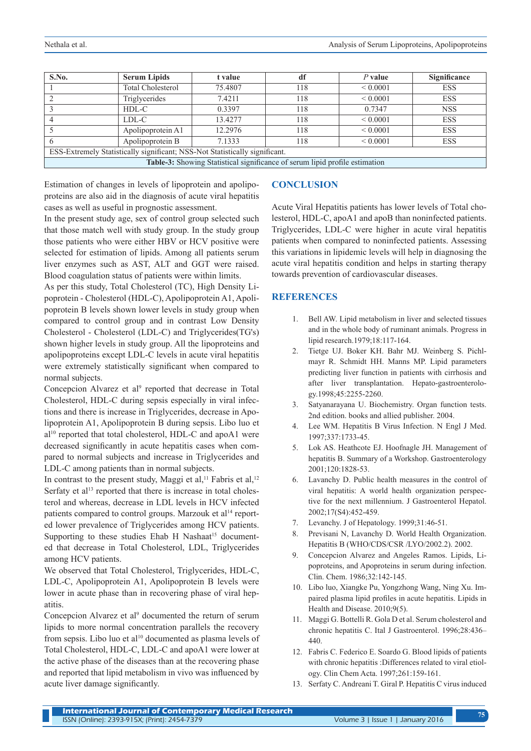| S.No.                                                                       | <b>Serum Lipids</b>      | t value | df  | $P$ value     | Significance |  |  |
|-----------------------------------------------------------------------------|--------------------------|---------|-----|---------------|--------------|--|--|
|                                                                             | <b>Total Cholesterol</b> | 75.4807 | 118 | ${}_{0.0001}$ | <b>ESS</b>   |  |  |
|                                                                             | Triglycerides            | 7.4211  | 118 | ${}_{0.0001}$ | <b>ESS</b>   |  |  |
|                                                                             | HDL-C                    | 0.3397  | 118 | 0.7347        | <b>NSS</b>   |  |  |
|                                                                             | LDL-C                    | 13.4277 | 118 | ${}_{0.0001}$ | <b>ESS</b>   |  |  |
|                                                                             | Apolipoprotein A1        | 12.2976 | 118 | ${}_{0.0001}$ | <b>ESS</b>   |  |  |
|                                                                             | Apolipoprotein B         | 7.1333  | 118 | ${}_{0.0001}$ | <b>ESS</b>   |  |  |
| ESS-Extremely Statistically significant; NSS-Not Statistically significant. |                          |         |     |               |              |  |  |
| Table-3: Showing Statistical significance of serum lipid profile estimation |                          |         |     |               |              |  |  |

Estimation of changes in levels of lipoprotein and apolipoproteins are also aid in the diagnosis of acute viral hepatitis cases as well as useful in prognostic assessment.

In the present study age, sex of control group selected such that those match well with study group. In the study group those patients who were either HBV or HCV positive were selected for estimation of lipids. Among all patients serum liver enzymes such as AST, ALT and GGT were raised. Blood coagulation status of patients were within limits.

As per this study, Total Cholesterol (TC), High Density Lipoprotein - Cholesterol (HDL-C), Apolipoprotein A1, Apolipoprotein B levels shown lower levels in study group when compared to control group and in contrast Low Density Cholesterol - Cholesterol (LDL-C) and Triglycerides(TG's) shown higher levels in study group. All the lipoproteins and apolipoproteins except LDL-C levels in acute viral hepatitis were extremely statistically significant when compared to normal subjects.

Concepcion Alvarez et al<sup>9</sup> reported that decrease in Total Cholesterol, HDL-C during sepsis especially in viral infections and there is increase in Triglycerides, decrease in Apolipoprotein A1, Apolipoprotein B during sepsis. Libo luo et al<sup>10</sup> reported that total cholesterol, HDL-C and apoA1 were decreased significantly in acute hepatitis cases when compared to normal subjects and increase in Triglycerides and LDL-C among patients than in normal subjects.

In contrast to the present study, Maggi et al,<sup>11</sup> Fabris et al,<sup>12</sup> Serfaty et al<sup>13</sup> reported that there is increase in total cholesterol and whereas, decrease in LDL levels in HCV infected patients compared to control groups. Marzouk et al<sup>14</sup> reported lower prevalence of Triglycerides among HCV patients. Supporting to these studies Ehab H Nashaat<sup>15</sup> documented that decrease in Total Cholesterol, LDL, Triglycerides among HCV patients.

We observed that Total Cholesterol, Triglycerides, HDL-C, LDL-C, Apolipoprotein A1, Apolipoprotein B levels were lower in acute phase than in recovering phase of viral hepatitis.

Concepcion Alvarez et al<sup>9</sup> documented the return of serum lipids to more normal concentration parallels the recovery from sepsis. Libo luo et al<sup>10</sup> documented as plasma levels of Total Cholesterol, HDL-C, LDL-C and apoA1 were lower at the active phase of the diseases than at the recovering phase and reported that lipid metabolism in vivo was influenced by acute liver damage significantly.

# **CONCLUSION**

Acute Viral Hepatitis patients has lower levels of Total cholesterol, HDL-C, apoA1 and apoB than noninfected patients. Triglycerides, LDL-C were higher in acute viral hepatitis patients when compared to noninfected patients. Assessing this variations in lipidemic levels will help in diagnosing the acute viral hepatitis condition and helps in starting therapy towards prevention of cardiovascular diseases.

# **REFERENCES**

- 1. Bell AW. Lipid metabolism in liver and selected tissues and in the whole body of ruminant animals. Progress in lipid research.1979;18:117-164.
- 2. Tietge UJ. Boker KH. Bahr MJ. Weinberg S. Pichlmayr R. Schmidt HH. Manns MP. Lipid parameters predicting liver function in patients with cirrhosis and after liver transplantation. Hepato-gastroenterology.1998;45:2255-2260.
- 3. Satyanarayana U. Biochemistry. Organ function tests. 2nd edition. books and allied publisher. 2004.
- 4. Lee WM. Hepatitis B Virus Infection. N Engl J Med. 1997;337:1733-45.
- 5. Lok AS. Heathcote EJ. Hoofnagle JH. Management of hepatitis B. Summary of a Workshop. Gastroenterology 2001;120:1828-53.
- 6. Lavanchy D. Public health measures in the control of viral hepatitis: A world health organization perspective for the next millennium. J Gastroenterol Hepatol. 2002;17(S4):452-459.
- 7. Levanchy. J of Hepatology. 1999;31:46-51.
- 8. Previsani N, Lavanchy D. World Health Organization. Hepatitis B (WHO/CDS/CSR /LYO/2002.2). 2002.
- 9. Concepcion Alvarez and Angeles Ramos. Lipids, Lipoproteins, and Apoproteins in serum during infection. Clin. Chem. 1986;32:142-145.
- 10. Libo luo, Xiangke Pu, Yongzhong Wang, Ning Xu. Impaired plasma lipid profiles in acute hepatitis. Lipids in Health and Disease. 2010;9(5).
- 11. Maggi G. Bottelli R. Gola D et al. Serum cholesterol and chronic hepatitis C. Ital J Gastroenterol. 1996;28:436– 440.
- 12. Fabris C. Federico E. Soardo G. Blood lipids of patients with chronic hepatitis :Differences related to viral etiology. Clin Chem Acta. 1997;261:159-161.
- 13. Serfaty C. Andreani T. Giral P. Hepatitis C virus induced